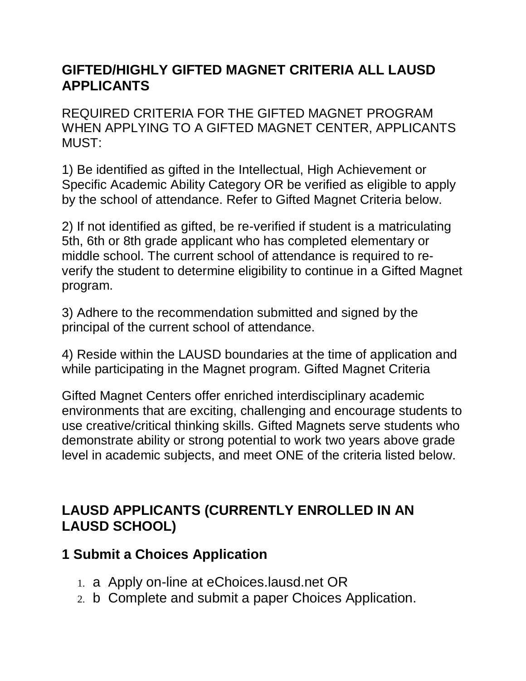## **GIFTED/HIGHLY GIFTED MAGNET CRITERIA ALL LAUSD APPLICANTS**

REQUIRED CRITERIA FOR THE GIFTED MAGNET PROGRAM WHEN APPLYING TO A GIFTED MAGNET CENTER, APPLICANTS MUST:

1) Be identified as gifted in the Intellectual, High Achievement or Specific Academic Ability Category OR be verified as eligible to apply by the school of attendance. Refer to Gifted Magnet Criteria below.

2) If not identified as gifted, be re-verified if student is a matriculating 5th, 6th or 8th grade applicant who has completed elementary or middle school. The current school of attendance is required to reverify the student to determine eligibility to continue in a Gifted Magnet program.

3) Adhere to the recommendation submitted and signed by the principal of the current school of attendance.

4) Reside within the LAUSD boundaries at the time of application and while participating in the Magnet program. Gifted Magnet Criteria

Gifted Magnet Centers offer enriched interdisciplinary academic environments that are exciting, challenging and encourage students to use creative/critical thinking skills. Gifted Magnets serve students who demonstrate ability or strong potential to work two years above grade level in academic subjects, and meet ONE of the criteria listed below.

## **LAUSD APPLICANTS (CURRENTLY ENROLLED IN AN LAUSD SCHOOL)**

## **1 Submit a Choices Application**

- 1. a Apply on-line at eChoices.lausd.net OR
- 2. b Complete and submit a paper Choices Application.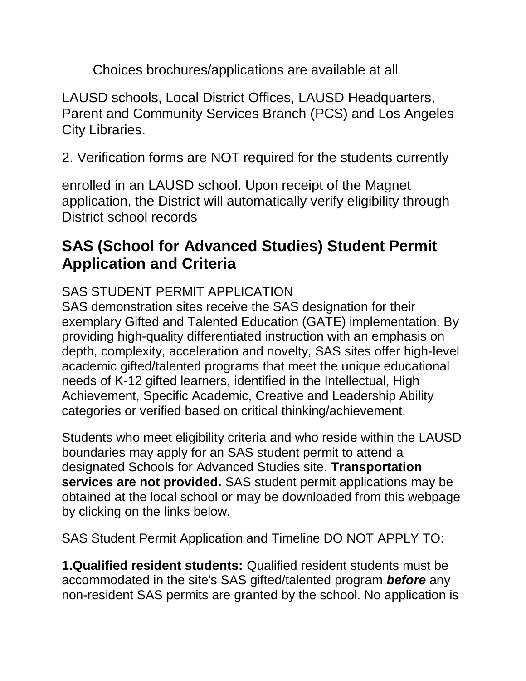Choices brochures/applications are available at all

LAUSD schools, Local District Offices, LAUSD Headquarters, Parent and Community Services Branch (PCS) and Los Angeles City Libraries.

2. Verification forms are NOT required for the students currently

enrolled in an LAUSD school. Upon receipt of the Magnet application, the District will automatically verify eligibility through District school records

# **SAS (School for Advanced Studies) Student Permit Application and Criteria**

## SAS STUDENT PERMIT APPLICATION

SAS demonstration sites receive the SAS designation for their exemplary Gifted and Talented Education (GATE) implementation. By providing high-quality differentiated instruction with an emphasis on depth, complexity, acceleration and novelty, SAS sites offer high-level academic gifted/talented programs that meet the unique educational needs of K-12 gifted learners, identified in the Intellectual, High Achievement, Specific Academic, Creative and Leadership Ability categories or verified based on critical thinking/achievement.

Students who meet eligibility criteria and who reside within the LAUSD boundaries may apply for an SAS student permit to attend a designated Schools for Advanced Studies site. **Transportation services are not provided.** SAS student permit applications may be obtained at the local school or may be downloaded from this webpage by clicking on the links below.

SAS Student Permit Application and Timeline DO NOT APPLY TO:

**1.Qualified resident students:** Qualified resident students must be accommodated in the site's SAS gifted/talented program *before* any non-resident SAS permits are granted by the school. No application is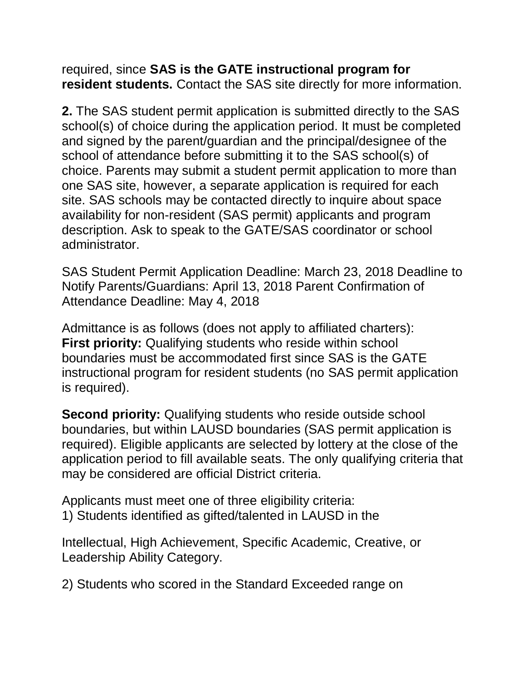required, since **SAS is the GATE instructional program for resident students.** Contact the SAS site directly for more information.

**2.** The SAS student permit application is submitted directly to the SAS school(s) of choice during the application period. It must be completed and signed by the parent/guardian and the principal/designee of the school of attendance before submitting it to the SAS school(s) of choice. Parents may submit a student permit application to more than one SAS site, however, a separate application is required for each site. SAS schools may be contacted directly to inquire about space availability for non-resident (SAS permit) applicants and program description. Ask to speak to the GATE/SAS coordinator or school administrator.

SAS Student Permit Application Deadline: March 23, 2018 Deadline to Notify Parents/Guardians: April 13, 2018 Parent Confirmation of Attendance Deadline: May 4, 2018

Admittance is as follows (does not apply to affiliated charters): **First priority:** Qualifying students who reside within school boundaries must be accommodated first since SAS is the GATE instructional program for resident students (no SAS permit application is required).

**Second priority:** Qualifying students who reside outside school boundaries, but within LAUSD boundaries (SAS permit application is required). Eligible applicants are selected by lottery at the close of the application period to fill available seats. The only qualifying criteria that may be considered are official District criteria.

Applicants must meet one of three eligibility criteria: 1) Students identified as gifted/talented in LAUSD in the

Intellectual, High Achievement, Specific Academic, Creative, or Leadership Ability Category.

2) Students who scored in the Standard Exceeded range on